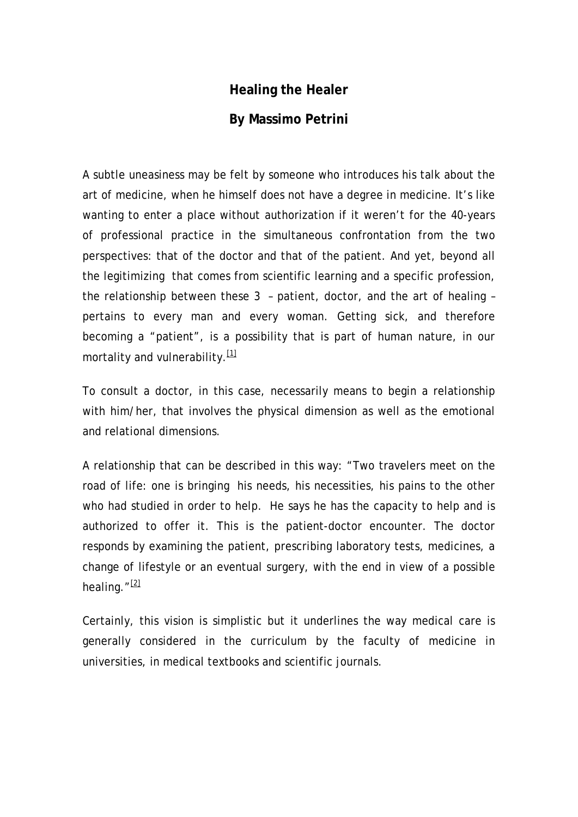## **Healing the Healer**

## **By Massimo Petrini**

A subtle uneasiness may be felt by someone who introduces his talk about the art of medicine, when he himself does not have a degree in medicine. It's like wanting to enter a place without authorization if it weren't for the 40-years of professional practice in the simultaneous confrontation from the two perspectives: that of the doctor and that of the patient. And yet, beyond all the legitimizing that comes from scientific learning and a specific profession, the relationship between these 3 – patient, doctor, and the art of healing – pertains to every man and every woman. Getting sick, and therefore becoming a "patient", is a possibility that is part of human nature, in our mortality and vulnerability. $[1]$ 

To consult a doctor, in this case, necessarily means to begin a relationship with him/her, that involves the physical dimension as well as the emotional and relational dimensions.

A relationship that can be described in this way: "Two travelers meet on the road of life: one is bringing his needs, his necessities, his pains to the other who had studied in order to help. He says he has the capacity to help and is authorized to offer it. This is the patient-doctor encounter. The doctor responds by examining the patient, prescribing laboratory tests, medicines, a change of lifestyle or an eventual surgery, with the end in view of a possible healing.  $^{\prime\prime}$   $\frac{[2]}{[2]}$  $\frac{[2]}{[2]}$  $\frac{[2]}{[2]}$ 

Certainly, this vision is simplistic but it underlines the way medical care is generally considered in the curriculum by the faculty of medicine in universities, in medical textbooks and scientific journals.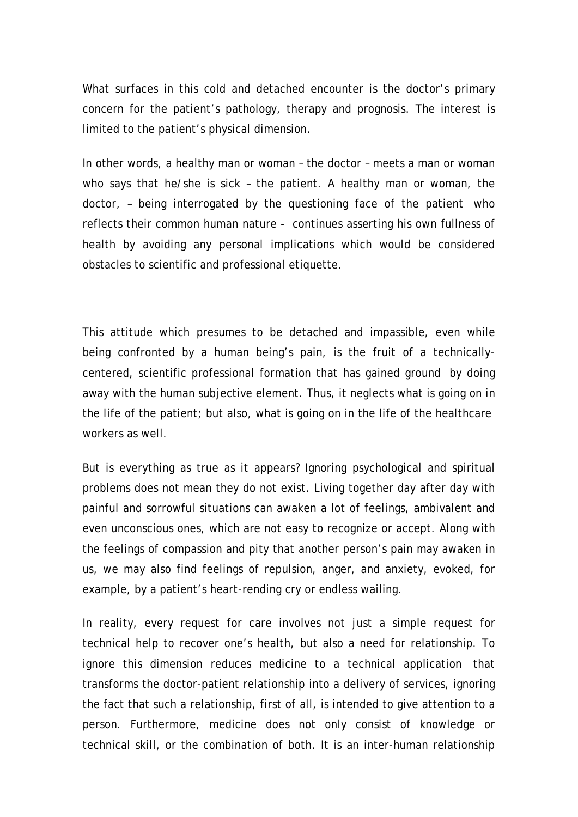What surfaces in this cold and detached encounter is the doctor's primary concern for the patient's pathology, therapy and prognosis. The interest is limited to the patient's physical dimension.

In other words, a healthy man or woman – the doctor – meets a man or woman who says that he/she is sick – the patient. A healthy man or woman, the doctor, – being interrogated by the questioning face of the patient who reflects their common human nature - continues asserting his own fullness of health by avoiding any personal implications which would be considered obstacles to scientific and professional etiquette.

This attitude which presumes to be detached and impassible, even while being confronted by a human being's pain, is the fruit of a technicallycentered, scientific professional formation that has gained ground by doing away with the human subjective element. Thus, it neglects what is going on in the life of the patient; but also, what is going on in the life of the healthcare workers as well.

But is everything as true as it appears? Ignoring psychological and spiritual problems does not mean they do not exist. Living together day after day with painful and sorrowful situations can awaken a lot of feelings, ambivalent and even unconscious ones, which are not easy to recognize or accept. Along with the feelings of compassion and pity that another person's pain may awaken in us, we may also find feelings of repulsion, anger, and anxiety, evoked, for example, by a patient's heart-rending cry or endless wailing.

In reality, every request for care involves not just a simple request for technical help to recover one's health, but also a need for relationship. To ignore this dimension reduces medicine to a technical application that transforms the doctor-patient relationship into a delivery of services, ignoring the fact that such a relationship, first of all, is intended to give attention to a person. Furthermore, medicine does not only consist of knowledge or technical skill, or the combination of both. It is an inter-human relationship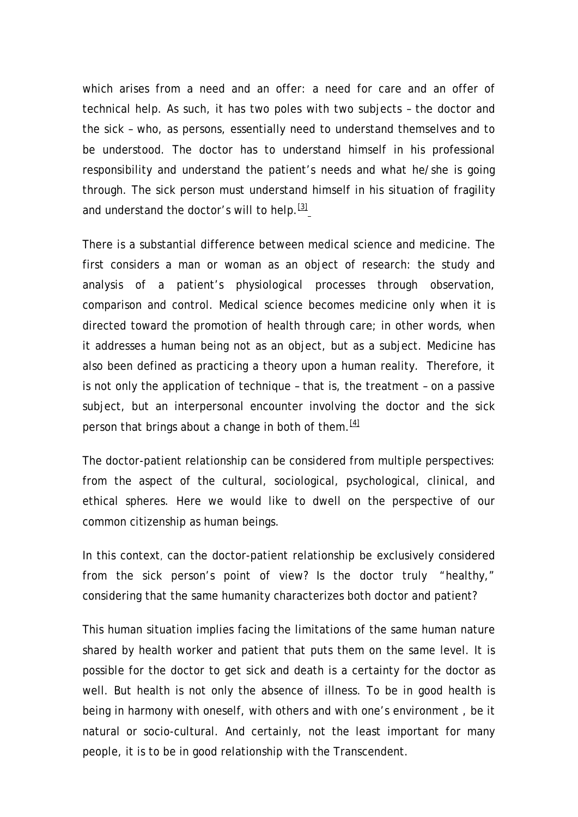which arises from a need and an offer: a need for care and an offer of technical help. As such, it has two poles with two subjects – the doctor and the sick – who, as persons, essentially need to understand themselves and to be understood. The doctor has to understand himself in his professional responsibility and understand the patient's needs and what he/she is going through. The sick person must understand himself in his situation of fragility and understand the doctor's will to help.  $\frac{31}{2}$ 

There is a substantial difference between medical science and medicine. The first considers a man or woman as an object of research: the study and analysis of a patient's physiological processes through observation, comparison and control. Medical science becomes medicine only when it is directed toward the promotion of health through care; in other words, when it addresses a human being not as an object, but as a subject. Medicine has also been defined as practicing a theory upon a human reality. Therefore, it is not only the application of technique – that is, the treatment – on a passive subject, but an interpersonal encounter involving the doctor and the sick person that brings about a change in both of them.  $\frac{141}{2}$ 

The doctor-patient relationship can be considered from multiple perspectives: from the aspect of the cultural, sociological, psychological, clinical, and ethical spheres. Here we would like to dwell on the perspective of our common citizenship as human beings.

In this context, can the doctor-patient relationship be exclusively considered from the sick person's point of view? Is the doctor truly "healthy," considering that the same humanity characterizes both doctor and patient?

This human situation implies facing the limitations of the same human nature shared by health worker and patient that puts them on the same level. It is possible for the doctor to get sick and death is a certainty for the doctor as well. But health is not only the absence of illness. To be in good health is being in harmony with oneself, with others and with one's environment , be it natural or socio-cultural. And certainly, not the least important for many people, it is to be in good relationship with the Transcendent.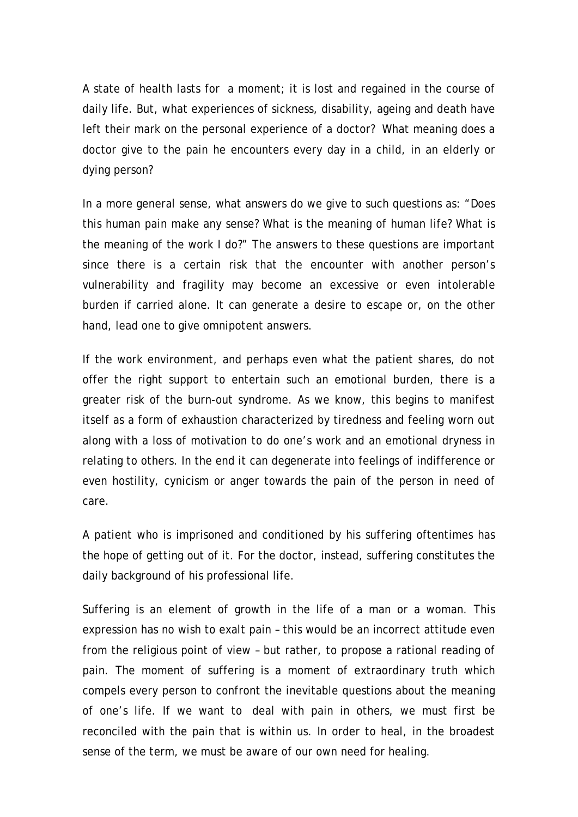A state of health lasts for a moment; it is lost and regained in the course of daily life. But, what experiences of sickness, disability, ageing and death have left their mark on the personal experience of a doctor? What meaning does a doctor give to the pain he encounters every day in a child, in an elderly or dying person?

In a more general sense, what answers do we give to such questions as: "Does this human pain make any sense? What is the meaning of human life? What is the meaning of the work I do?" The answers to these questions are important since there is a certain risk that the encounter with another person's vulnerability and fragility may become an excessive or even intolerable burden if carried alone. It can generate a desire to escape or, on the other hand, lead one to give omnipotent answers.

If the work environment, and perhaps even what the patient shares, do not offer the right support to entertain such an emotional burden, there is a greater risk of the burn-out syndrome. As we know, this begins to manifest itself as a form of exhaustion characterized by tiredness and feeling worn out along with a loss of motivation to do one's work and an emotional dryness in relating to others. In the end it can degenerate into feelings of indifference or even hostility, cynicism or anger towards the pain of the person in need of care.

A patient who is imprisoned and conditioned by his suffering oftentimes has the hope of getting out of it. For the doctor, instead, suffering constitutes the daily background of his professional life.

Suffering is an element of growth in the life of a man or a woman. This expression has no wish to exalt pain – this would be an incorrect attitude even from the religious point of view – but rather, to propose a rational reading of pain. The moment of suffering is a moment of extraordinary truth which compels every person to confront the inevitable questions about the meaning of one's life. If we want to deal with pain in others, we must first be reconciled with the pain that is within us. In order to heal, in the broadest sense of the term, we must be aware of our own need for healing.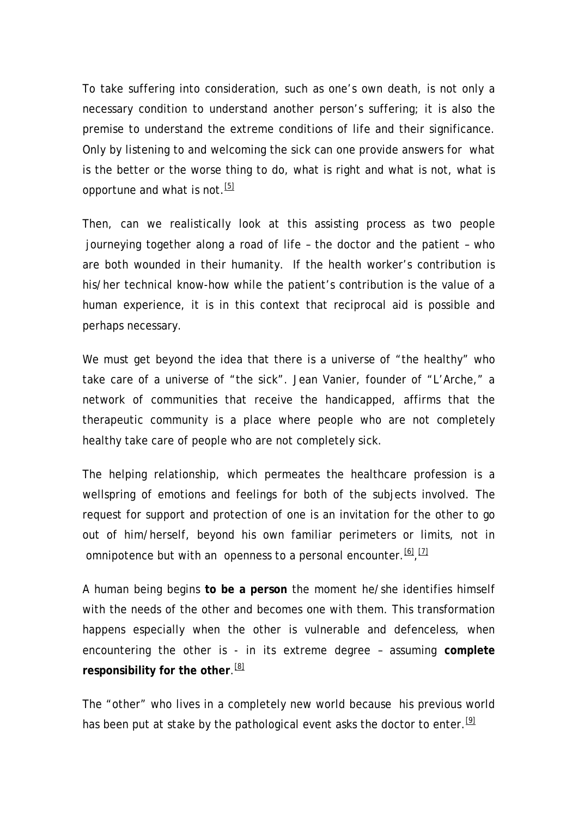To take suffering into consideration, such as one's own death, is not only a necessary condition to understand another person's suffering; it is also the premise to understand the extreme conditions of life and their significance. Only by listening to and welcoming the sick can one provide answers for what is the better or the worse thing to do, what is right and what is not, what is opportune and what is not.<sup>[\[5\]](http://mail.google.com/mail/?ik=3fcbaa4142&view=cv&search=inbox&th=11091b4d9c6bafdb&ww=770&lvp=-1&cvp=1&qt=&zx=3bxrd0-sddvj1#11091b4d9c6bafdb__ftn5#11091b4d9c6bafdb__ftn5)</sup>

Then, can we realistically look at this assisting process as two people journeying together along a road of life – the doctor and the patient – who are both wounded in their humanity. If the health worker's contribution is his/her technical know-how while the patient's contribution is the value of a human experience, it is in this context that reciprocal aid is possible and perhaps necessary.

We must get beyond the idea that there is a universe of "the healthy" who take care of a universe of "the sick". Jean Vanier, founder of "L'Arche," a network of communities that receive the handicapped, affirms that the therapeutic community is a place where people who are not completely healthy take care of people who are not completely sick.

The helping relationship, which permeates the healthcare profession is a wellspring of emotions and feelings for both of the subjects involved. The request for support and protection of one is an invitation for the other to go out of him/herself, beyond his own familiar perimeters or limits, not in omnipotence but with an openness to a personal encounter.  $[6, 12]$ 

A human being begins **to be a person** the moment he/she identifies himself with the needs of the other and becomes one with them. This transformation happens especially when the other is vulnerable and defenceless, when encountering the other is - in its extreme degree – assuming **complete responsibility for the other**. [\[8\]](http://mail.google.com/mail/?ik=3fcbaa4142&view=cv&search=inbox&th=11091b4d9c6bafdb&ww=770&lvp=-1&cvp=1&qt=&zx=3bxrd0-sddvj1#11091b4d9c6bafdb__ftn8#11091b4d9c6bafdb__ftn8)

The "other" who lives in a completely new world because his previous world has been put at stake by the pathological event asks the doctor to enter.<sup>[\[9\]](http://mail.google.com/mail/?ik=3fcbaa4142&view=cv&search=inbox&th=11091b4d9c6bafdb&ww=770&lvp=-1&cvp=1&qt=&zx=3bxrd0-sddvj1#11091b4d9c6bafdb__ftn9#11091b4d9c6bafdb__ftn9)</sup>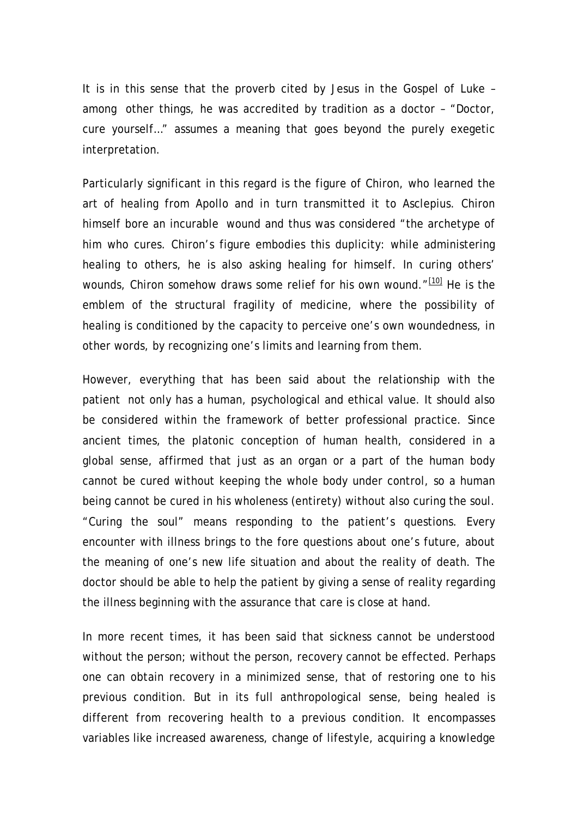It is in this sense that the proverb cited by Jesus in the Gospel of Luke – among other things, he was accredited by tradition as a doctor – "Doctor, cure yourself…" assumes a meaning that goes beyond the purely exegetic interpretation.

Particularly significant in this regard is the figure of Chiron, who learned the art of healing from Apollo and in turn transmitted it to Asclepius. Chiron himself bore an incurable wound and thus was considered "the archetype of him who cures. Chiron's figure embodies this duplicity: while administering healing to others, he is also asking healing for himself. In curing others' wounds, Chiron somehow draws some relief for his own wound."<sup>[\[10\]](http://mail.google.com/mail/?ik=3fcbaa4142&view=cv&search=inbox&th=11091b4d9c6bafdb&ww=770&lvp=-1&cvp=1&qt=&zx=3bxrd0-sddvj1#11091b4d9c6bafdb__ftn10#11091b4d9c6bafdb__ftn10)</sup> He is the emblem of the structural fragility of medicine, where the possibility of healing is conditioned by the capacity to perceive one's own woundedness, in other words, by recognizing one's limits and learning from them.

However, everything that has been said about the relationship with the patient not only has a human, psychological and ethical value. It should also be considered within the framework of better professional practice. Since ancient times, the platonic conception of human health, considered in a global sense, affirmed that just as an organ or a part of the human body cannot be cured without keeping the whole body under control, so a human being cannot be cured in his wholeness (entirety) without also curing the soul. "Curing the soul" means responding to the patient's questions. Every encounter with illness brings to the fore questions about one's future, about the meaning of one's new life situation and about the reality of death. The doctor should be able to help the patient by giving a sense of reality regarding the illness beginning with the assurance that care is close at hand.

In more recent times, it has been said that sickness cannot be understood without the person; without the person, recovery cannot be effected. Perhaps one can obtain recovery in a minimized sense, that of restoring one to his previous condition. But in its full anthropological sense, being healed is different from recovering health to a previous condition. It encompasses variables like increased awareness, change of lifestyle, acquiring a knowledge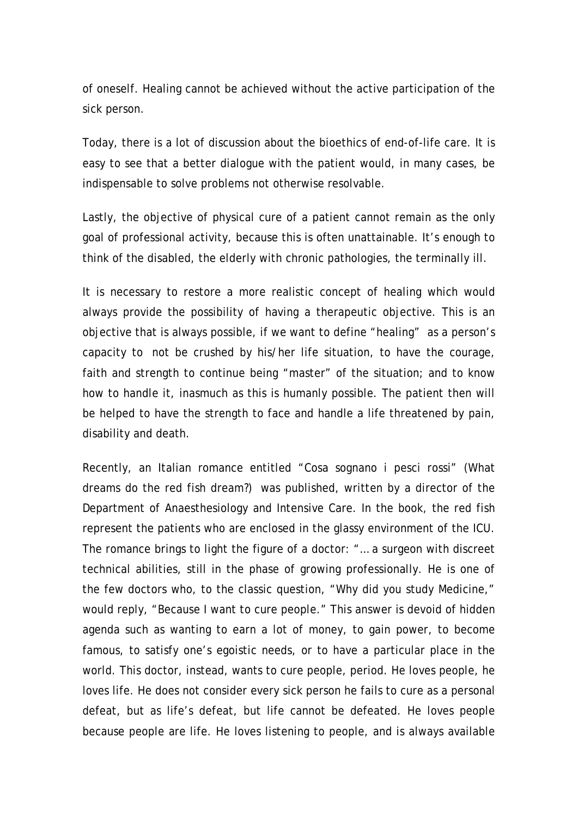of oneself. Healing cannot be achieved without the active participation of the sick person.

Today, there is a lot of discussion about the bioethics of end-of-life care. It is easy to see that a better dialogue with the patient would, in many cases, be indispensable to solve problems not otherwise resolvable.

Lastly, the objective of physical cure of a patient cannot remain as the only goal of professional activity, because this is often unattainable. It's enough to think of the disabled, the elderly with chronic pathologies, the terminally ill.

It is necessary to restore a more realistic concept of healing which would always provide the possibility of having a therapeutic objective. This is an objective that is always possible, if we want to define "healing" as a person's capacity to not be crushed by his/her life situation, to have the courage, faith and strength to continue being "master" of the situation; and to know how to handle it, inasmuch as this is humanly possible. The patient then will be helped to have the strength to face and handle a life threatened by pain, disability and death.

Recently, an Italian romance entitled "Cosa sognano i pesci rossi" (What dreams do the red fish dream?) was published, written by a director of the Department of Anaesthesiology and Intensive Care. In the book, the red fish represent the patients who are enclosed in the glassy environment of the ICU. The romance brings to light the figure of a doctor: "… a surgeon with discreet technical abilities, still in the phase of growing professionally. He is one of the few doctors who, to the classic question, "Why did you study Medicine," would reply, "Because I want to cure people." This answer is devoid of hidden agenda such as wanting to earn a lot of money, to gain power, to become famous, to satisfy one's egoistic needs, or to have a particular place in the world. This doctor, instead, wants to cure people, period. He loves people, he loves life. He does not consider every sick person he fails to cure as a personal defeat, but as life's defeat, but life cannot be defeated. He loves people because people are life. He loves listening to people, and is always available